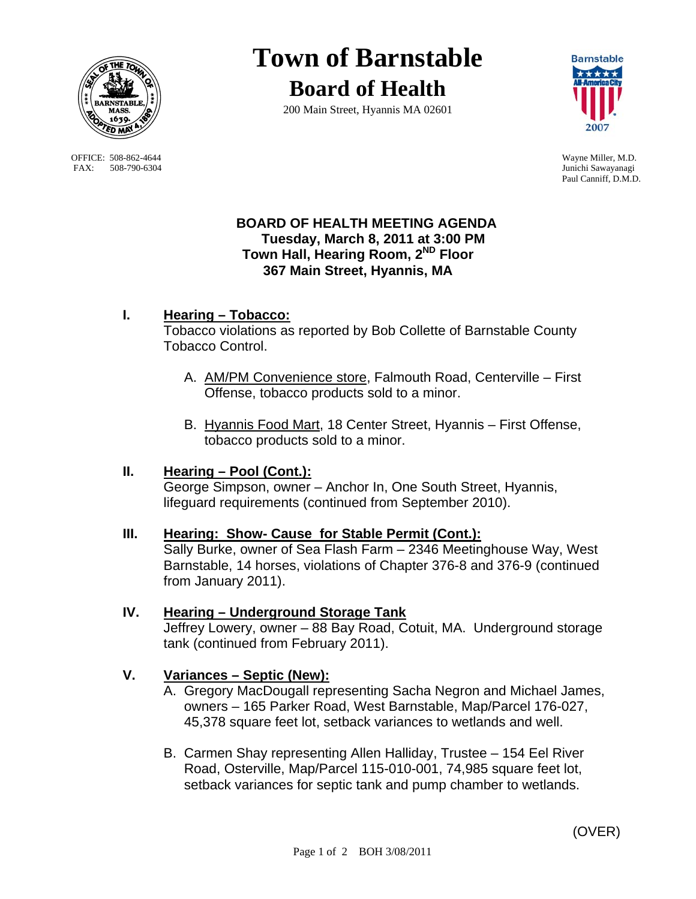

OFFICE: 508-862-4644 Wayne Miller, M.D.<br>
FAX: 508-790-6304 Junichi Sawayanagi FAX: 508-790-6304

# **Town of Barnstable Board of Health**

200 Main Street, Hyannis MA 02601



Paul Canniff, D.M.D.

#### **BOARD OF HEALTH MEETING AGENDA Tuesday, March 8, 2011 at 3:00 PM Town Hall, Hearing Room, 2ND Floor 367 Main Street, Hyannis, MA**

# **I. Hearing – Tobacco:**

Tobacco violations as reported by Bob Collette of Barnstable County Tobacco Control.

- A. AM/PM Convenience store, Falmouth Road, Centerville First Offense, tobacco products sold to a minor.
- B. Hyannis Food Mart, 18 Center Street, Hyannis First Offense, tobacco products sold to a minor.

# **II. Hearing – Pool (Cont.):**

 George Simpson, owner – Anchor In, One South Street, Hyannis, lifeguard requirements (continued from September 2010).

# **III. Hearing: Show- Cause for Stable Permit (Cont.):**

 Sally Burke, owner of Sea Flash Farm – 2346 Meetinghouse Way, West Barnstable, 14 horses, violations of Chapter 376-8 and 376-9 (continued from January 2011).

# **IV. Hearing – Underground Storage Tank**

Jeffrey Lowery, owner – 88 Bay Road, Cotuit, MA. Underground storage tank (continued from February 2011).

# **V. Variances – Septic (New):**

- A. Gregory MacDougall representing Sacha Negron and Michael James, owners – 165 Parker Road, West Barnstable, Map/Parcel 176-027, 45,378 square feet lot, setback variances to wetlands and well.
- B. Carmen Shay representing Allen Halliday, Trustee 154 Eel River Road, Osterville, Map/Parcel 115-010-001, 74,985 square feet lot, setback variances for septic tank and pump chamber to wetlands.